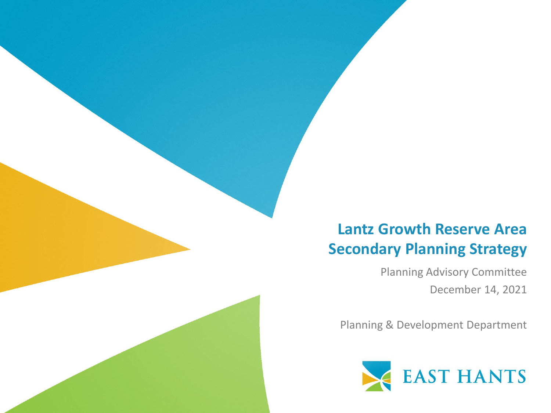### **Lantz Growth Reserve Area Secondary Planning Strategy**

Planning Advisory Committee December 14, 2021

Planning & Development Department

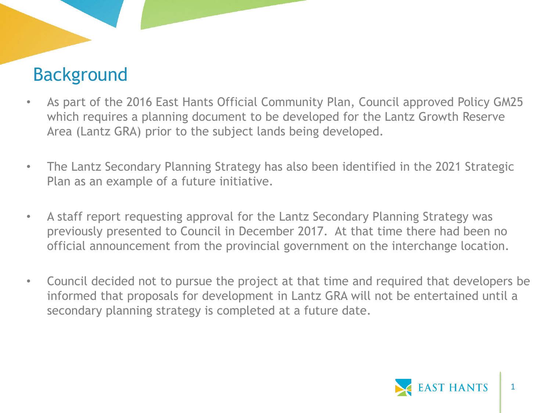### Background

- As part of the 2016 East Hants Official Community Plan, Council approved Policy GM25 which requires a planning document to be developed for the Lantz Growth Reserve Area (Lantz GRA) prior to the subject lands being developed.
- The Lantz Secondary Planning Strategy has also been identified in the 2021 Strategic Plan as an example of a future initiative.
- A staff report requesting approval for the Lantz Secondary Planning Strategy was previously presented to Council in December 2017. At that time there had been no official announcement from the provincial government on the interchange location.
- Council decided not to pursue the project at that time and required that developers be informed that proposals for development in Lantz GRA will not be entertained until a secondary planning strategy is completed at a future date.

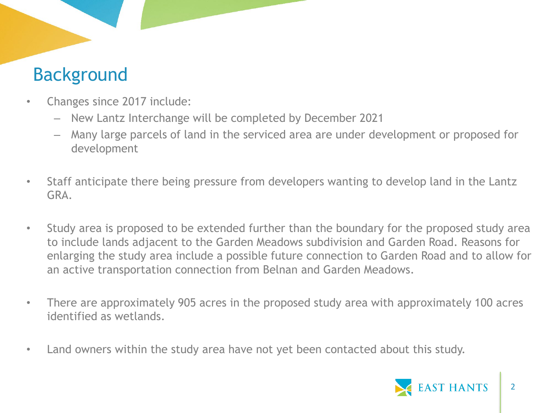### Background

- Changes since 2017 include:
	- New Lantz Interchange will be completed by December 2021
	- Many large parcels of land in the serviced area are under development or proposed for development
- Staff anticipate there being pressure from developers wanting to develop land in the Lantz GRA.
- Study area is proposed to be extended further than the boundary for the proposed study area to include lands adjacent to the Garden Meadows subdivision and Garden Road. Reasons for enlarging the study area include a possible future connection to Garden Road and to allow for an active transportation connection from Belnan and Garden Meadows.
- There are approximately 905 acres in the proposed study area with approximately 100 acres identified as wetlands.
- Land owners within the study area have not yet been contacted about this study.

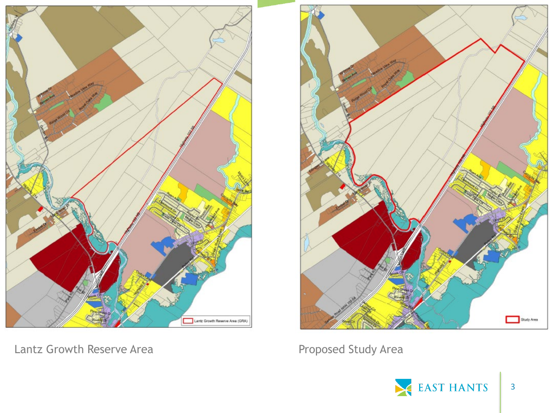

Lantz Growth Reserve Area **Proposed Study Area** Proposed Study Area



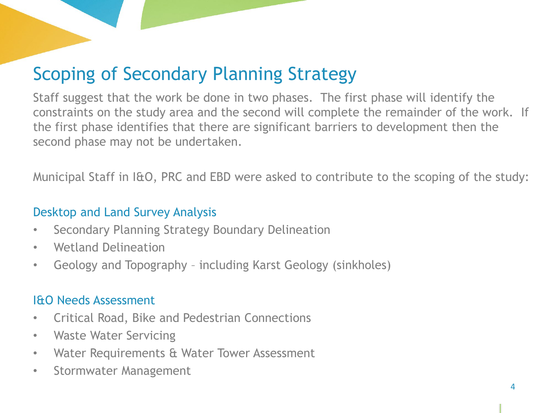# Scoping of Secondary Planning Strategy

Staff suggest that the work be done in two phases. The first phase will identify the constraints on the study area and the second will complete the remainder of the work. If the first phase identifies that there are significant barriers to development then the second phase may not be undertaken.

Municipal Staff in I&O, PRC and EBD were asked to contribute to the scoping of the study:

#### Desktop and Land Survey Analysis

- Secondary Planning Strategy Boundary Delineation
- Wetland Delineation
- Geology and Topography including Karst Geology (sinkholes)

#### I&O Needs Assessment

- Critical Road, Bike and Pedestrian Connections
- Waste Water Servicing
- Water Requirements & Water Tower Assessment
- Stormwater Management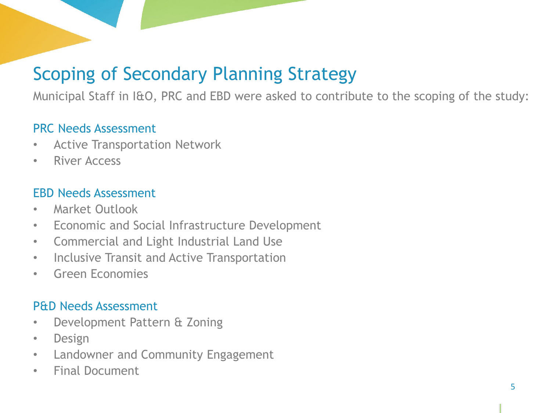# Scoping of Secondary Planning Strategy

Municipal Staff in I&O, PRC and EBD were asked to contribute to the scoping of the study:

#### PRC Needs Assessment

- Active Transportation Network
- River Access

#### EBD Needs Assessment

- Market Outlook
- Economic and Social Infrastructure Development
- Commercial and Light Industrial Land Use
- Inclusive Transit and Active Transportation
- Green Economies

#### P&D Needs Assessment

- Development Pattern & Zoning
- Design
- Landowner and Community Engagement
- Final Document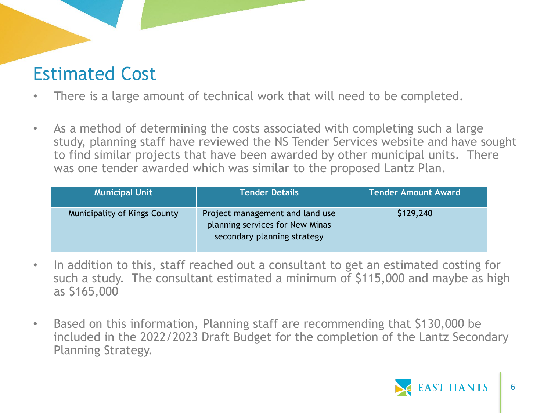### Estimated Cost

- There is a large amount of technical work that will need to be completed.
- As a method of determining the costs associated with completing such a large study, planning staff have reviewed the NS Tender Services website and have sought to find similar projects that have been awarded by other municipal units. There was one tender awarded which was similar to the proposed Lantz Plan.

| <b>Municipal Unit</b>               | <b>Tender Details</b>                                                                             | <b>Tender Amount Award</b> |
|-------------------------------------|---------------------------------------------------------------------------------------------------|----------------------------|
| <b>Municipality of Kings County</b> | Project management and land use<br>planning services for New Minas<br>secondary planning strategy | \$129,240                  |

- In addition to this, staff reached out a consultant to get an estimated costing for such a study. The consultant estimated a minimum of \$115,000 and maybe as high as \$165,000
- Based on this information, Planning staff are recommending that \$130,000 be included in the 2022/2023 Draft Budget for the completion of the Lantz Secondary Planning Strategy.

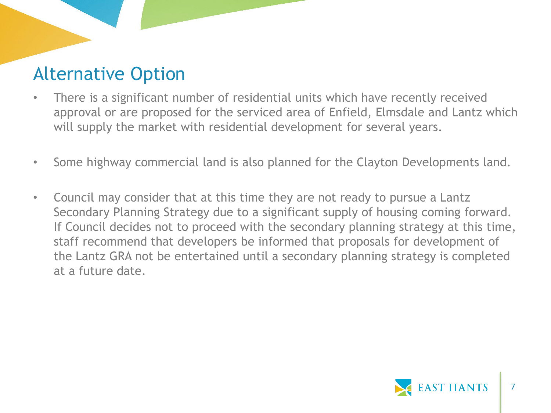## Alternative Option

- There is a significant number of residential units which have recently received approval or are proposed for the serviced area of Enfield, Elmsdale and Lantz which will supply the market with residential development for several years.
- Some highway commercial land is also planned for the Clayton Developments land.
- Council may consider that at this time they are not ready to pursue a Lantz Secondary Planning Strategy due to a significant supply of housing coming forward. If Council decides not to proceed with the secondary planning strategy at this time, staff recommend that developers be informed that proposals for development of the Lantz GRA not be entertained until a secondary planning strategy is completed at a future date.